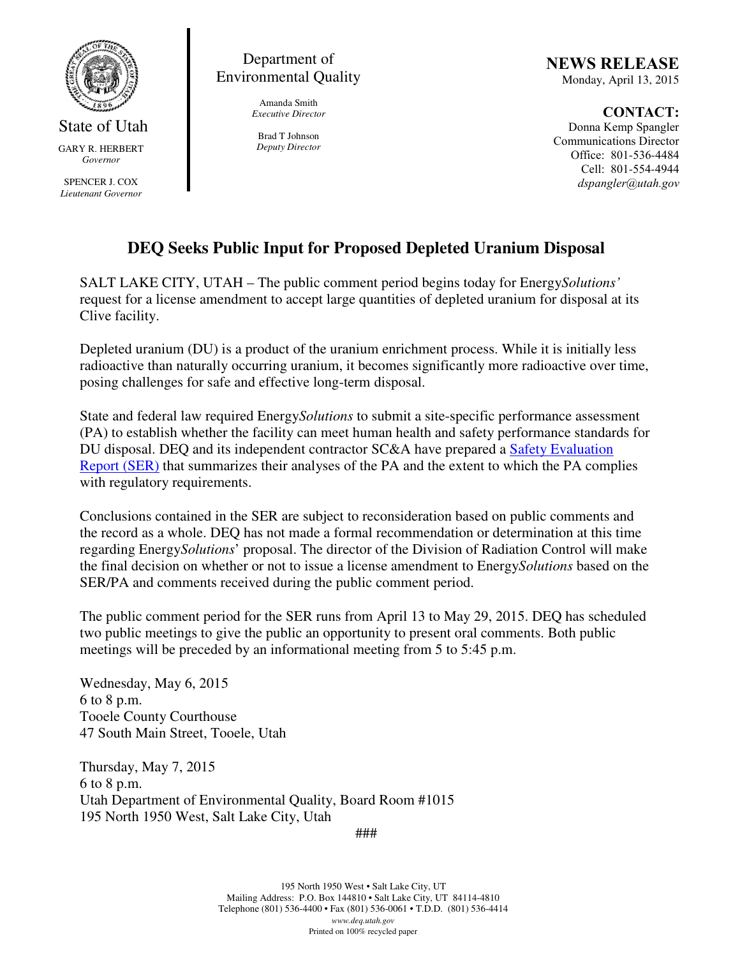

State of Utah GARY R. HERBERT *Governor* 

SPENCER J. COX *Lieutenant Governor* 

Department of Environmental Quality

> Amanda Smith *Executive Director*

Brad T Johnson *Deputy Director*  NEWS RELEASE Monday, April 13, 2015

CONTACT: Donna Kemp Spangler Communications Director Office: 801-536-4484 Cell: 801-554-4944 dspangler@utah.gov

## **DEQ Seeks Public Input for Proposed Depleted Uranium Disposal**

SALT LAKE CITY, UTAH – The public comment period begins today for Energy*Solutions'*  request for a license amendment to accept large quantities of depleted uranium for disposal at its Clive facility.

Depleted uranium (DU) is a product of the uranium enrichment process. While it is initially less radioactive than naturally occurring uranium, it becomes significantly more radioactive over time, posing challenges for safe and effective long-term disposal.

State and federal law required Energy*Solutions* to submit a site-specific performance assessment (PA) to establish whether the facility can meet human health and safety performance standards for DU disposal. DEQ and its independent contractor SC&A have prepared a Safety Evaluation Report (SER) that summarizes their analyses of the PA and the extent to which the PA complies with regulatory requirements.

Conclusions contained in the SER are subject to reconsideration based on public comments and the record as a whole. DEQ has not made a formal recommendation or determination at this time regarding Energy*Solutions*' proposal. The director of the Division of Radiation Control will make the final decision on whether or not to issue a license amendment to Energy*Solutions* based on the SER/PA and comments received during the public comment period.

The public comment period for the SER runs from April 13 to May 29, 2015. DEQ has scheduled two public meetings to give the public an opportunity to present oral comments. Both public meetings will be preceded by an informational meeting from 5 to 5:45 p.m.

Wednesday, May 6, 2015 6 to 8 p.m. Tooele County Courthouse 47 South Main Street, Tooele, Utah

Thursday, May 7, 2015 6 to 8 p.m. Utah Department of Environmental Quality, Board Room #1015 195 North 1950 West, Salt Lake City, Utah

###

195 North 1950 West • Salt Lake City, UT Mailing Address: P.O. Box 144810 • Salt Lake City, UT 84114-4810 Telephone (801) 536-4400 • Fax (801) 536-0061 • T.D.D. (801) 536-4414 *www.deq.utah.gov*  Printed on 100% recycled paper